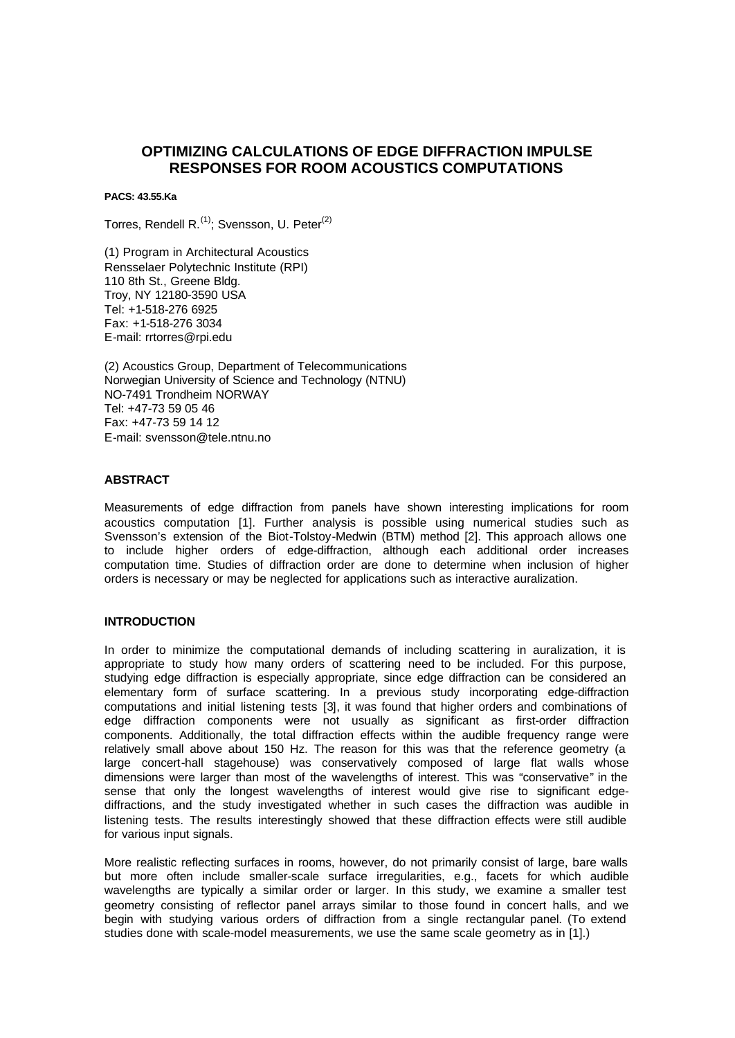# **OPTIMIZING CALCULATIONS OF EDGE DIFFRACTION IMPULSE RESPONSES FOR ROOM ACOUSTICS COMPUTATIONS**

**PACS: 43.55.Ka**

Torres, Rendell R. $^{(1)}$ : Svensson, U. Peter $^{(2)}$ 

(1) Program in Architectural Acoustics Rensselaer Polytechnic Institute (RPI) 110 8th St., Greene Bldg. Troy, NY 12180-3590 USA Tel: +1-518-276 6925 Fax: +1-518-276 3034 E-mail: rrtorres@rpi.edu

(2) Acoustics Group, Department of Telecommunications Norwegian University of Science and Technology (NTNU) NO-7491 Trondheim NORWAY Tel: +47-73 59 05 46 Fax: +47-73 59 14 12 E-mail: svensson@tele.ntnu.no

# **ABSTRACT**

Measurements of edge diffraction from panels have shown interesting implications for room acoustics computation [1]. Further analysis is possible using numerical studies such as Svensson's extension of the Biot-Tolstoy-Medwin (BTM) method [2]. This approach allows one to include higher orders of edge-diffraction, although each additional order increases computation time. Studies of diffraction order are done to determine when inclusion of higher orders is necessary or may be neglected for applications such as interactive auralization.

#### **INTRODUCTION**

In order to minimize the computational demands of including scattering in auralization, it is appropriate to study how many orders of scattering need to be included. For this purpose, studying edge diffraction is especially appropriate, since edge diffraction can be considered an elementary form of surface scattering. In a previous study incorporating edge-diffraction computations and initial listening tests [3], it was found that higher orders and combinations of edge diffraction components were not usually as significant as first-order diffraction components. Additionally, the total diffraction effects within the audible frequency range were relatively small above about 150 Hz. The reason for this was that the reference geometry (a large concert-hall stagehouse) was conservatively composed of large flat walls whose dimensions were larger than most of the wavelengths of interest. This was "conservative" in the sense that only the longest wavelengths of interest would give rise to significant edgediffractions, and the study investigated whether in such cases the diffraction was audible in listening tests. The results interestingly showed that these diffraction effects were still audible for various input signals.

More realistic reflecting surfaces in rooms, however, do not primarily consist of large, bare walls but more often include smaller-scale surface irregularities, e.g., facets for which audible wavelengths are typically a similar order or larger. In this study, we examine a smaller test geometry consisting of reflector panel arrays similar to those found in concert halls, and we begin with studying various orders of diffraction from a single rectangular panel. (To extend studies done with scale-model measurements, we use the same scale geometry as in [1].)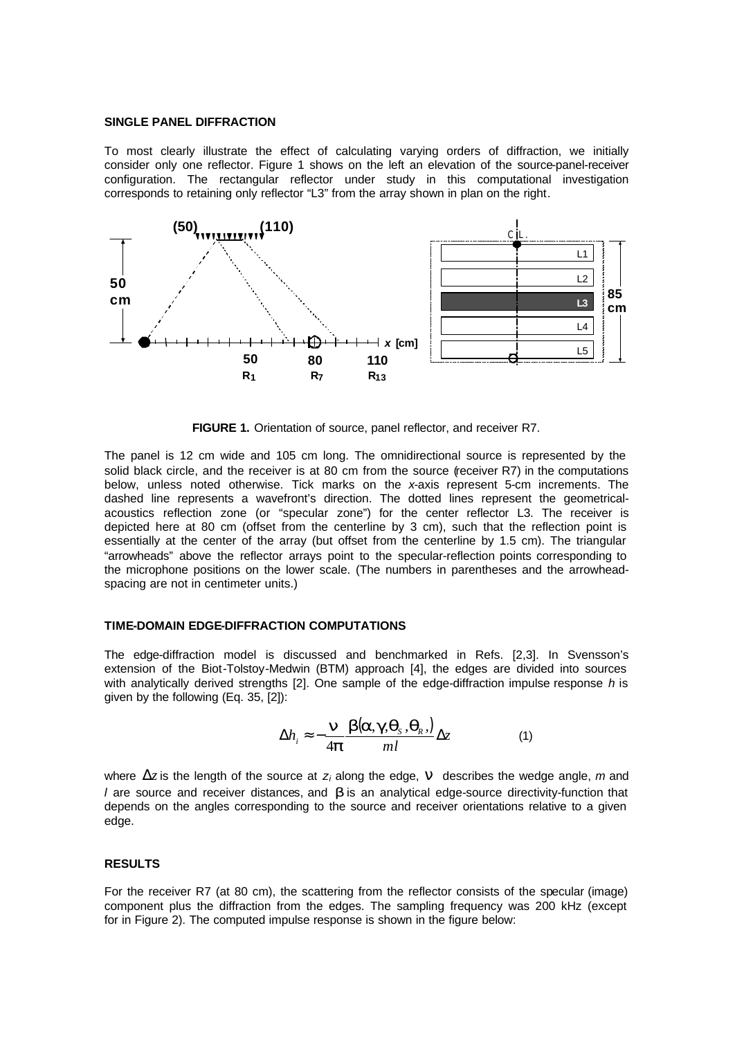#### **SINGLE PANEL DIFFRACTION**

To most clearly illustrate the effect of calculating varying orders of diffraction, we initially consider only one reflector. Figure 1 shows on the left an elevation of the source-panel-receiver configuration. The rectangular reflector under study in this computational investigation corresponds to retaining only reflector "L3" from the array shown in plan on the right.



**FIGURE 1.** Orientation of source, panel reflector, and receiver R7.

The panel is 12 cm wide and 105 cm long. The omnidirectional source is represented by the solid black circle, and the receiver is at 80 cm from the source (receiver R7) in the computations below, unless noted otherwise. Tick marks on the *x*-axis represent 5-cm increments. The dashed line represents a wavefront's direction. The dotted lines represent the geometricalacoustics reflection zone (or "specular zone") for the center reflector L3. The receiver is depicted here at 80 cm (offset from the centerline by 3 cm), such that the reflection point is essentially at the center of the array (but offset from the centerline by 1.5 cm). The triangular "arrowheads" above the reflector arrays point to the specular-reflection points corresponding to the microphone positions on the lower scale. (The numbers in parentheses and the arrowheadspacing are not in centimeter units.)

### **TIME-DOMAIN EDGE-DIFFRACTION COMPUTATIONS**

The edge-diffraction model is discussed and benchmarked in Refs. [2,3]. In Svensson's extension of the Biot-Tolstoy-Medwin (BTM) approach [4], the edges are divided into sources with analytically derived strengths [2]. One sample of the edge-diffraction impulse response *h* is given by the following (Eq. 35, [2]):

$$
\Delta h_i \approx -\frac{n}{4p} \frac{b(a, g, q_s, q_s)}{ml} \Delta z \tag{1}
$$

where  $\Delta z$  is the length of the source at *z<sub>i</sub>* along the edge, **n** describes the wedge angle, *m* and *l* are source and receiver distances, and *b* is an analytical edge-source directivity-function that depends on the angles corresponding to the source and receiver orientations relative to a given edge.

## **RESULTS**

For the receiver R7 (at 80 cm), the scattering from the reflector consists of the specular (image) component plus the diffraction from the edges. The sampling frequency was 200 kHz (except for in Figure 2). The computed impulse response is shown in the figure below: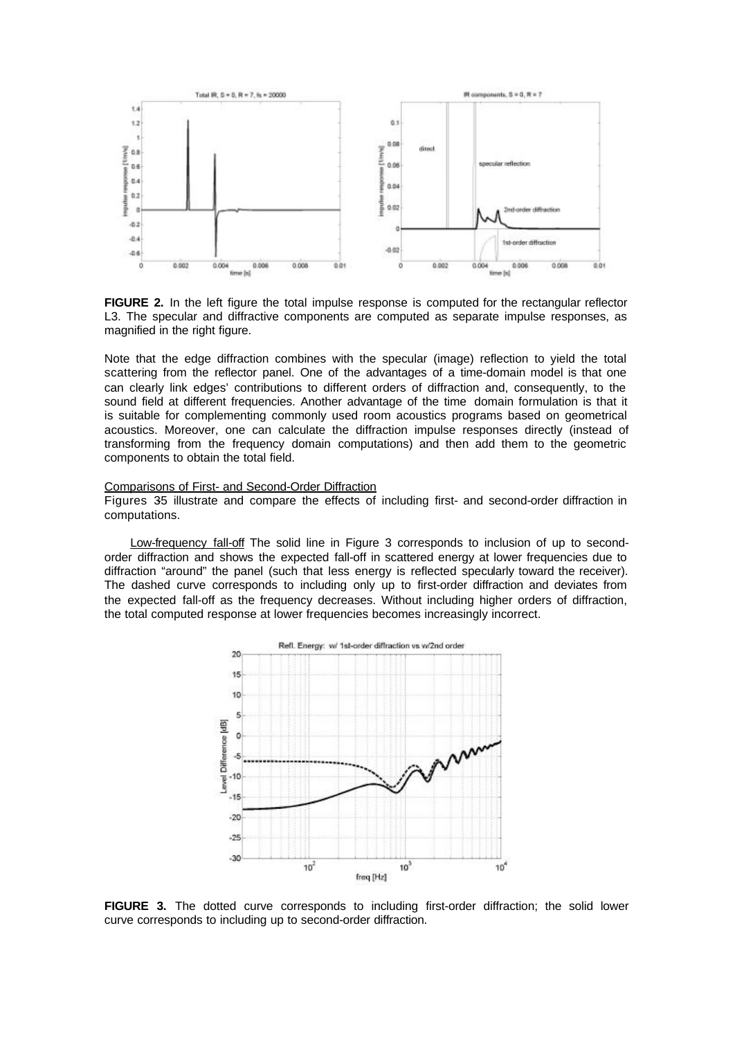

**FIGURE 2.** In the left figure the total impulse response is computed for the rectangular reflector L3. The specular and diffractive components are computed as separate impulse responses, as magnified in the right figure.

Note that the edge diffraction combines with the specular (image) reflection to yield the total scattering from the reflector panel. One of the advantages of a time-domain model is that one can clearly link edges' contributions to different orders of diffraction and, consequently, to the sound field at different frequencies. Another advantage of the time domain formulation is that it is suitable for complementing commonly used room acoustics programs based on geometrical acoustics. Moreover, one can calculate the diffraction impulse responses directly (instead of transforming from the frequency domain computations) and then add them to the geometric components to obtain the total field.

## Comparisons of First- and Second-Order Diffraction

Figures 35 illustrate and compare the effects of including first- and second-order diffraction in computations.

Low-frequency fall-off The solid line in Figure 3 corresponds to inclusion of up to secondorder diffraction and shows the expected fall-off in scattered energy at lower frequencies due to diffraction "around" the panel (such that less energy is reflected specularly toward the receiver). The dashed curve corresponds to including only up to first-order diffraction and deviates from the expected fall-off as the frequency decreases. Without including higher orders of diffraction, the total computed response at lower frequencies becomes increasingly incorrect.



**FIGURE 3.** The dotted curve corresponds to including first-order diffraction; the solid lower curve corresponds to including up to second-order diffraction.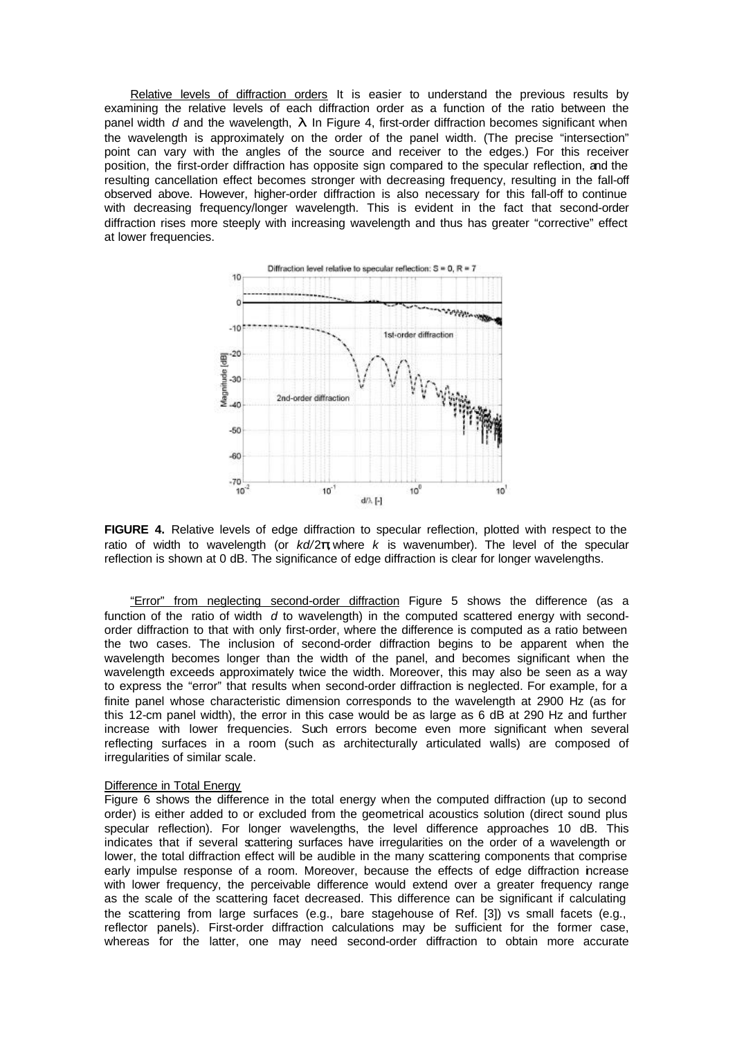Relative levels of diffraction orders It is easier to understand the previous results by examining the relative levels of each diffraction order as a function of the ratio between the panel width *d* and the wavelength, *l*. In Figure 4, first-order diffraction becomes significant when the wavelength is approximately on the order of the panel width. (The precise "intersection" point can vary with the angles of the source and receiver to the edges.) For this receiver position, the first-order diffraction has opposite sign compared to the specular reflection, and the resulting cancellation effect becomes stronger with decreasing frequency, resulting in the fall-off observed above. However, higher-order diffraction is also necessary for this fall-off to continue with decreasing frequency/longer wavelength. This is evident in the fact that second-order diffraction rises more steeply with increasing wavelength and thus has greater "corrective" effect at lower frequencies.



FIGURE 4. Relative levels of edge diffraction to specular reflection, plotted with respect to the ratio of width to wavelength (or *kd/*2*p*, where *k* is wavenumber). The level of the specular reflection is shown at 0 dB. The significance of edge diffraction is clear for longer wavelengths.

"Error" from neglecting second-order diffraction Figure 5 shows the difference (as a function of the ratio of width *d* to wavelength) in the computed scattered energy with secondorder diffraction to that with only first-order, where the difference is computed as a ratio between the two cases. The inclusion of second-order diffraction begins to be apparent when the wavelength becomes longer than the width of the panel, and becomes significant when the wavelength exceeds approximately twice the width. Moreover, this may also be seen as a way to express the "error" that results when second-order diffraction is neglected. For example, for a finite panel whose characteristic dimension corresponds to the wavelength at 2900 Hz (as for this 12-cm panel width), the error in this case would be as large as 6 dB at 290 Hz and further increase with lower frequencies. Such errors become even more significant when several reflecting surfaces in a room (such as architecturally articulated walls) are composed of irregularities of similar scale.

### Difference in Total Energy

Figure 6 shows the difference in the total energy when the computed diffraction (up to second order) is either added to or excluded from the geometrical acoustics solution (direct sound plus specular reflection). For longer wavelengths, the level difference approaches 10 dB. This indicates that if several scattering surfaces have irregularities on the order of a wavelength or lower, the total diffraction effect will be audible in the many scattering components that comprise early impulse response of a room. Moreover, because the effects of edge diffraction increase with lower frequency, the perceivable difference would extend over a greater frequency range as the scale of the scattering facet decreased. This difference can be significant if calculating the scattering from large surfaces (e.g., bare stagehouse of Ref. [3]) vs small facets (e.g., reflector panels). First-order diffraction calculations may be sufficient for the former case, whereas for the latter, one may need second-order diffraction to obtain more accurate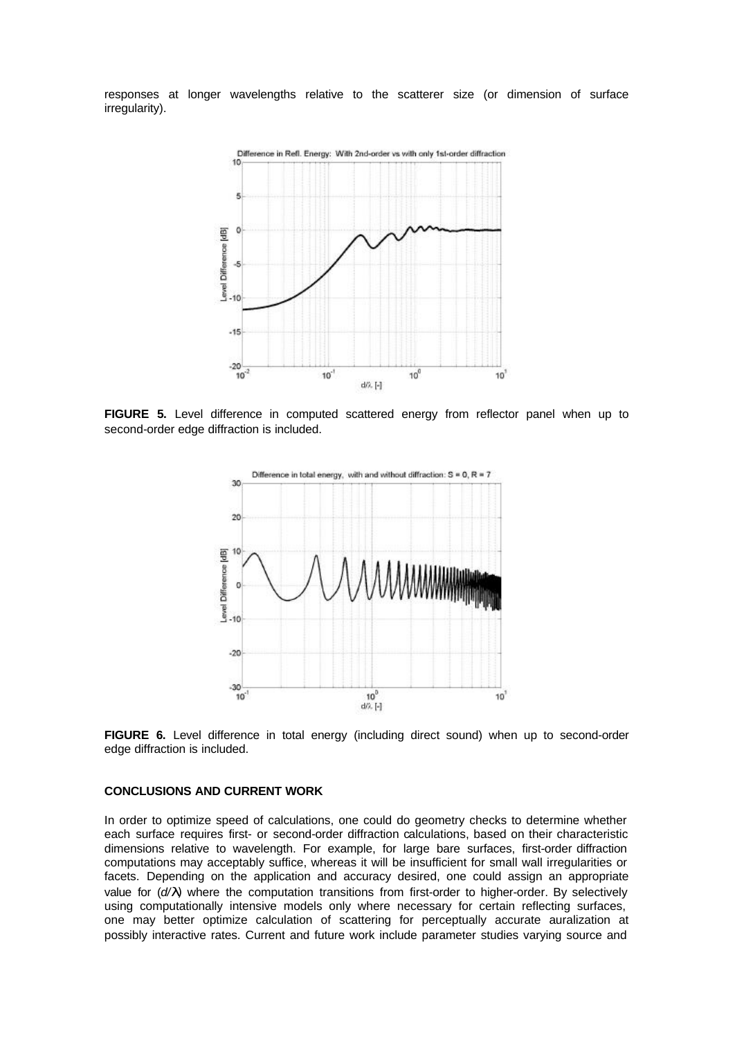responses at longer wavelengths relative to the scatterer size (or dimension of surface irregularity).



**FIGURE 5.** Level difference in computed scattered energy from reflector panel when up to second-order edge diffraction is included.



**FIGURE 6.** Level difference in total energy (including direct sound) when up to second-order edge diffraction is included.

#### **CONCLUSIONS AND CURRENT WORK**

In order to optimize speed of calculations, one could do geometry checks to determine whether each surface requires first- or second-order diffraction calculations, based on their characteristic dimensions relative to wavelength. For example, for large bare surfaces, first-order diffraction computations may acceptably suffice, whereas it will be insufficient for small wall irregularities or facets. Depending on the application and accuracy desired, one could assign an appropriate value for (*d/l*) where the computation transitions from first-order to higher-order. By selectively using computationally intensive models only where necessary for certain reflecting surfaces, one may better optimize calculation of scattering for perceptually accurate auralization at possibly interactive rates. Current and future work include parameter studies varying source and